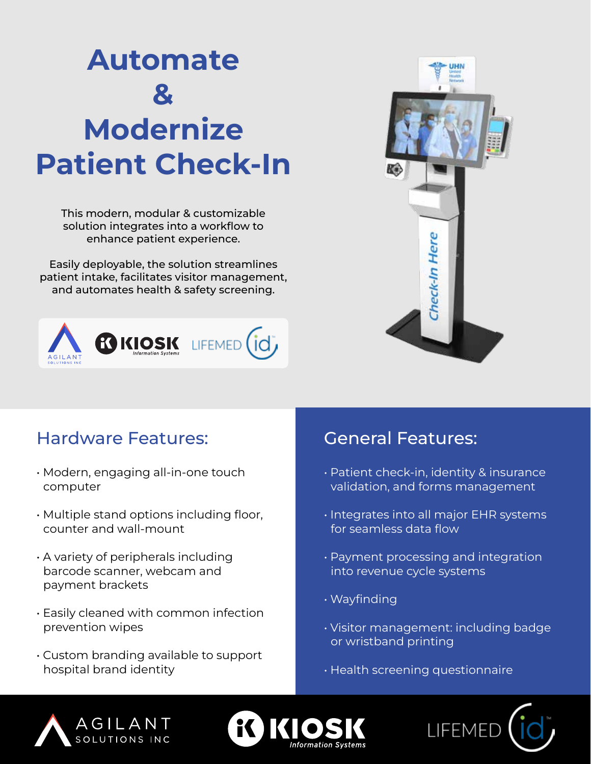# Automate  $\mathbf{z}$ Modernize Patient Check-In

This modern, modular & customizable solution integrates into a workflow to enhance patient experience.

Easily deployable, the solution streamlines patient intake, facilitates visitor management, and automates health & safety screening.





#### Hardware Features:

- Modern, engaging all-in-one touch computer
- Multiple stand options including floor, counter and wall-mount
- A variety of peripherals including barcode scanner, webcam and payment brackets
- Easily cleaned with common infection prevention wipes
- Custom branding available to support hospital brand identity

#### General Features:

- Patient check-in, identity & insurance validation, and forms management
- Integrates into all major EHR systems for seamless data flow
- Payment processing and integration into revenue cycle systems
- Wayfinding
- Visitor management: including badge or wristband printing
- Health screening questionnaire